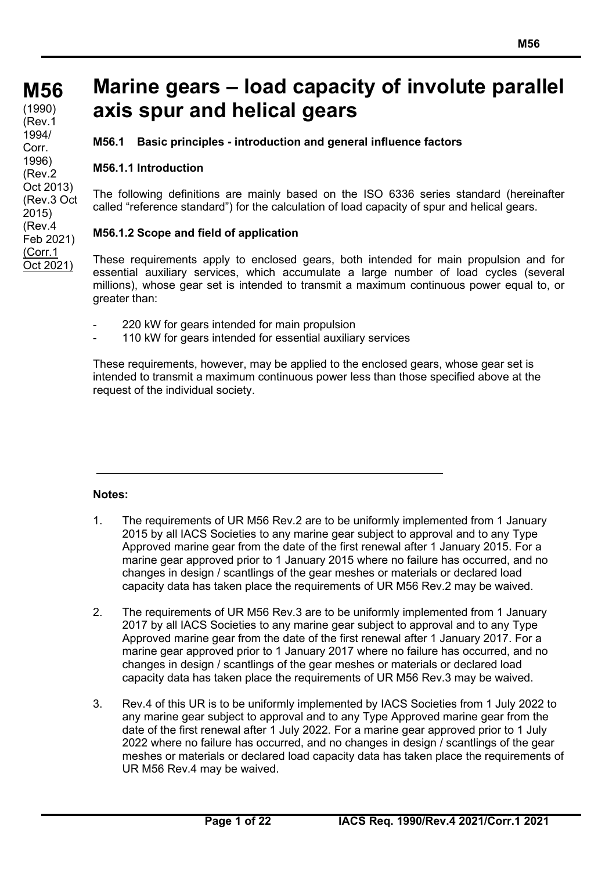**M56 M56 (cont)** (1990) (Rev.1 1994/ Corr. 1996) (Rev.2 Oct 2013) (Rev.3 Oct 2015) (Rev.4 Feb 2021) (Corr.1 Oct 2021)

## **Marine gears – load capacity of involute parallel axis spur and helical gears**

**M56.1 Basic principles - introduction and general influence factors**

### **M56.1.1 Introduction**

The following definitions are mainly based on the ISO 6336 series standard (hereinafter called "reference standard") for the calculation of load capacity of spur and helical gears.

### **M56.1.2 Scope and field of application**

These requirements apply to enclosed gears, both intended for main propulsion and for essential auxiliary services, which accumulate a large number of load cycles (several millions), whose gear set is intended to transmit a maximum continuous power equal to, or greater than:

- 220 kW for gears intended for main propulsion
- 110 kW for gears intended for essential auxiliary services

These requirements, however, may be applied to the enclosed gears, whose gear set is intended to transmit a maximum continuous power less than those specified above at the request of the individual society.

### **Notes:**

- 1. The requirements of UR M56 Rev.2 are to be uniformly implemented from 1 January 2015 by all IACS Societies to any marine gear subject to approval and to any Type Approved marine gear from the date of the first renewal after 1 January 2015. For a marine gear approved prior to 1 January 2015 where no failure has occurred, and no changes in design / scantlings of the gear meshes or materials or declared load capacity data has taken place the requirements of UR M56 Rev.2 may be waived.
- 2. The requirements of UR M56 Rev.3 are to be uniformly implemented from 1 January 2017 by all IACS Societies to any marine gear subject to approval and to any Type Approved marine gear from the date of the first renewal after 1 January 2017. For a marine gear approved prior to 1 January 2017 where no failure has occurred, and no changes in design / scantlings of the gear meshes or materials or declared load capacity data has taken place the requirements of UR M56 Rev.3 may be waived.
- 3. Rev.4 of this UR is to be uniformly implemented by IACS Societies from 1 July 2022 to any marine gear subject to approval and to any Type Approved marine gear from the date of the first renewal after 1 July 2022. For a marine gear approved prior to 1 July 2022 where no failure has occurred, and no changes in design / scantlings of the gear meshes or materials or declared load capacity data has taken place the requirements of UR M56 Rev.4 may be waived.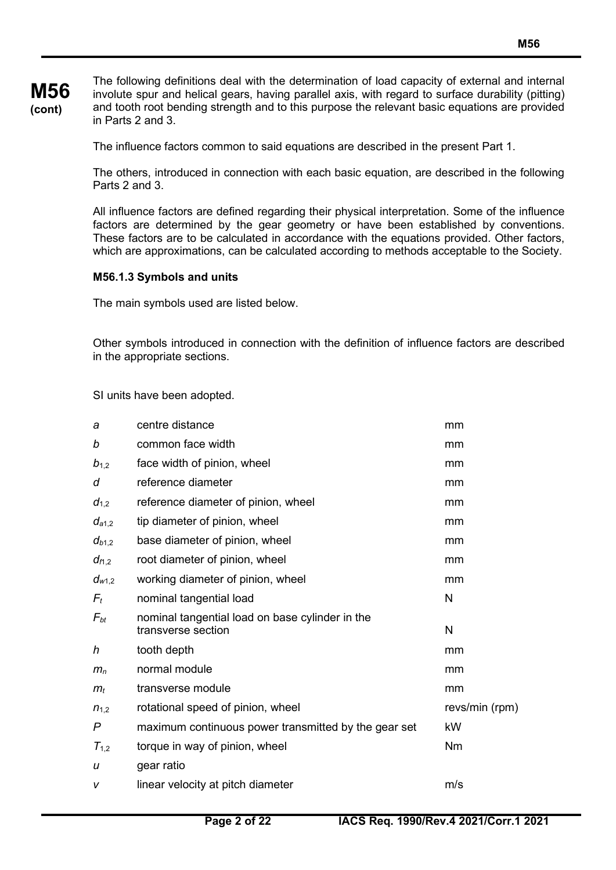### **M56 (cont)**

The following definitions deal with the determination of load capacity of external and internal involute spur and helical gears, having parallel axis, with regard to surface durability (pitting) and tooth root bending strength and to this purpose the relevant basic equations are provided in Parts 2 and 3.

The influence factors common to said equations are described in the present Part 1.

The others, introduced in connection with each basic equation, are described in the following Parts 2 and 3.

All influence factors are defined regarding their physical interpretation. Some of the influence factors are determined by the gear geometry or have been established by conventions. These factors are to be calculated in accordance with the equations provided. Other factors, which are approximations, can be calculated according to methods acceptable to the Society.

### **M56.1.3 Symbols and units**

The main symbols used are listed below.

Other symbols introduced in connection with the definition of influence factors are described in the appropriate sections.

SI units have been adopted.

| a              | centre distance                                                       | mm             |
|----------------|-----------------------------------------------------------------------|----------------|
| b              | common face width                                                     | mm             |
| $b_{1,2}$      | face width of pinion, wheel                                           | mm             |
| d              | reference diameter                                                    | mm             |
| $d_{1,2}$      | reference diameter of pinion, wheel                                   | mm             |
| $d_{a1,2}$     | tip diameter of pinion, wheel                                         | mm             |
| $d_{b1,2}$     | base diameter of pinion, wheel                                        | mm             |
| $d_{f1,2}$     | root diameter of pinion, wheel                                        | mm             |
| $d_{w1,2}$     | working diameter of pinion, wheel                                     | mm             |
| $F_t$          | nominal tangential load                                               | N              |
| $F_{bt}$       | nominal tangential load on base cylinder in the<br>transverse section | N              |
| h              | tooth depth                                                           | mm             |
| m <sub>n</sub> | normal module                                                         | mm             |
| $m_t$          | transverse module                                                     | mm             |
| $n_{1,2}$      | rotational speed of pinion, wheel                                     | revs/min (rpm) |
| P              | maximum continuous power transmitted by the gear set                  | kW             |
| $T_{1,2}$      | torque in way of pinion, wheel                                        | <b>Nm</b>      |
| u              | gear ratio                                                            |                |
| v              | linear velocity at pitch diameter                                     | m/s            |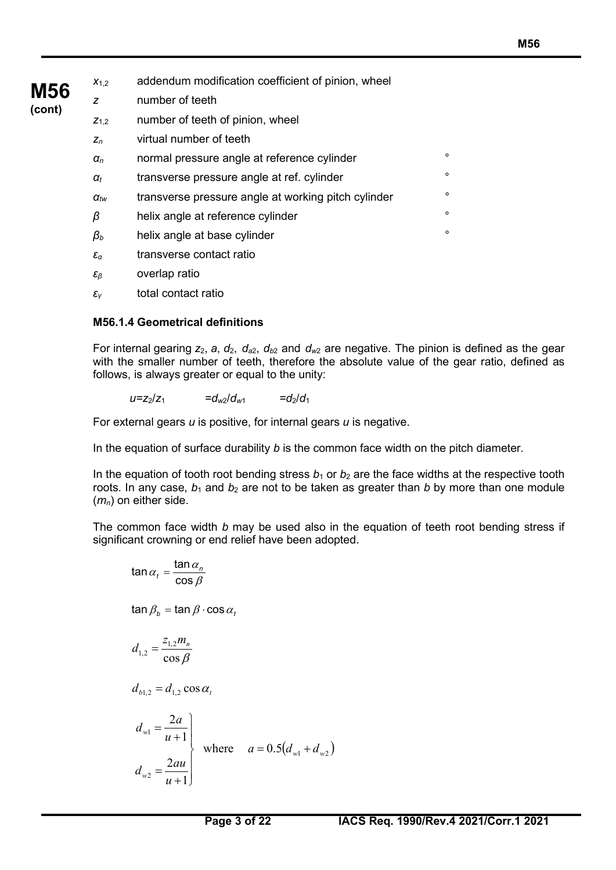| $X_{1,2}$              | addendum modification coefficient of pinion, wheel  |         |
|------------------------|-----------------------------------------------------|---------|
| z                      | number of teeth                                     |         |
| $Z_{1,2}$              | number of teeth of pinion, wheel                    |         |
| $Z_n$                  | virtual number of teeth                             |         |
| $\alpha_n$             | normal pressure angle at reference cylinder         | $\circ$ |
| $\alpha_t$             | transverse pressure angle at ref. cylinder          | $\circ$ |
| $\alpha_{tw}$          | transverse pressure angle at working pitch cylinder | $\circ$ |
| β                      | helix angle at reference cylinder                   | $\circ$ |
| $\beta_b$              | helix angle at base cylinder                        | $\circ$ |
| $\varepsilon_{\alpha}$ | transverse contact ratio                            |         |
| $\varepsilon_{\beta}$  | overlap ratio                                       |         |

*εγ* total contact ratio

**M56 (cont)**

### **M56.1.4 Geometrical definitions**

For internal gearing  $z_2$ ,  $a$ ,  $d_2$ ,  $d_{a2}$ ,  $d_{b2}$  and  $d_{w2}$  are negative. The pinion is defined as the gear with the smaller number of teeth, therefore the absolute value of the gear ratio, defined as follows, is always greater or equal to the unity:

 $u=z_2/z_1$   $= d_{w2}/d_{w1}$   $= d_2/d_1$ 

For external gears *u* is positive, for internal gears *u* is negative.

In the equation of surface durability *b* is the common face width on the pitch diameter.

In the equation of tooth root bending stress  $b_1$  or  $b_2$  are the face widths at the respective tooth roots. In any case,  $b_1$  and  $b_2$  are not to be taken as greater than *b* by more than one module (*mn*) on either side.

The common face width *b* may be used also in the equation of teeth root bending stress if significant crowning or end relief have been adopted.

$$
\tan \alpha_t = \frac{\tan \alpha_n}{\cos \beta}
$$
\n
$$
\tan \beta_b = \tan \beta \cdot \cos \alpha_t
$$
\n
$$
d_{1,2} = \frac{z_{1,2}m_n}{\cos \beta}
$$
\n
$$
d_{b1,2} = d_{1,2} \cos \alpha_t
$$
\n
$$
d_{w1} = \frac{2a}{u+1}
$$
\nwhere  $a = 0.5(d_{w1} + d_{w2})$ \n
$$
d_{w2} = \frac{2au}{u+1}
$$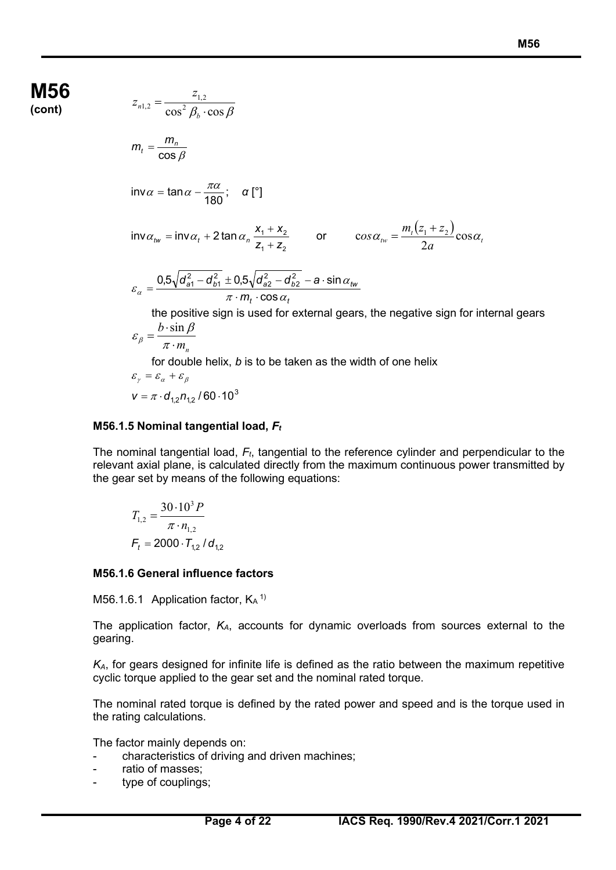**M56 (cont)** 

$$
z_{n1,2} = \frac{z_{1,2}}{\cos^2 \beta_b \cdot \cos \beta}
$$
  
\n
$$
m_t = \frac{m_n}{\cos \beta}
$$
  
\n
$$
\text{inv}\alpha = \tan \alpha - \frac{\pi \alpha}{180}; \quad \alpha \text{ [}^{\circ}\text{]}
$$
  
\n
$$
\text{inv}\alpha_{tw} = \text{inv}\alpha_t + 2 \tan \alpha_n \frac{x_1 + x_2}{z_1 + z_2} \qquad \text{or} \qquad \cos \alpha_{tw} = \frac{m_t (z_1 + z_2) \cos \alpha_t}{2a}
$$
  
\n
$$
\varepsilon_{\alpha} = \frac{0.5\sqrt{d_{\alpha 1}^2 - d_{\beta 1}^2} \pm 0.5\sqrt{d_{\alpha 2}^2 - d_{\beta 2}^2} - a \cdot \sin \alpha_{tw}}{\pi \cdot m_t \cdot \cos \alpha_t}
$$
  
\nthe positive sign is used for external years, the negative sign for internal years  
\n
$$
\varepsilon_{\beta} = \frac{b \cdot \sin \beta}{\pi \cdot m_n}
$$
  
\nfor double helix, *b* is to be taken as the width of one helix

$$
\varepsilon_{\gamma} = \varepsilon_{\alpha} + \varepsilon_{\beta}
$$

$$
\mathbf{v} = \pi \cdot \mathbf{d}_{1,2} n_{1,2} / 60 \cdot 10^3
$$

### **M56.1.5 Nominal tangential load,** *Ft*

The nominal tangential load, *Ft*, tangential to the reference cylinder and perpendicular to the relevant axial plane, is calculated directly from the maximum continuous power transmitted by the gear set by means of the following equations:

$$
T_{1,2} = \frac{30 \cdot 10^3 P}{\pi \cdot n_{1,2}}
$$
  
F<sub>t</sub> = 2000 · T<sub>1,2</sub> / d<sub>1,2</sub>

### **M56.1.6 General influence factors**

M56.1.6.1 Application factor, KA<sup>1)</sup>

The application factor, *KA*, accounts for dynamic overloads from sources external to the gearing.

*KA*, for gears designed for infinite life is defined as the ratio between the maximum repetitive cyclic torque applied to the gear set and the nominal rated torque.

The nominal rated torque is defined by the rated power and speed and is the torque used in the rating calculations.

The factor mainly depends on:

- characteristics of driving and driven machines;
- ratio of masses;
- type of couplings;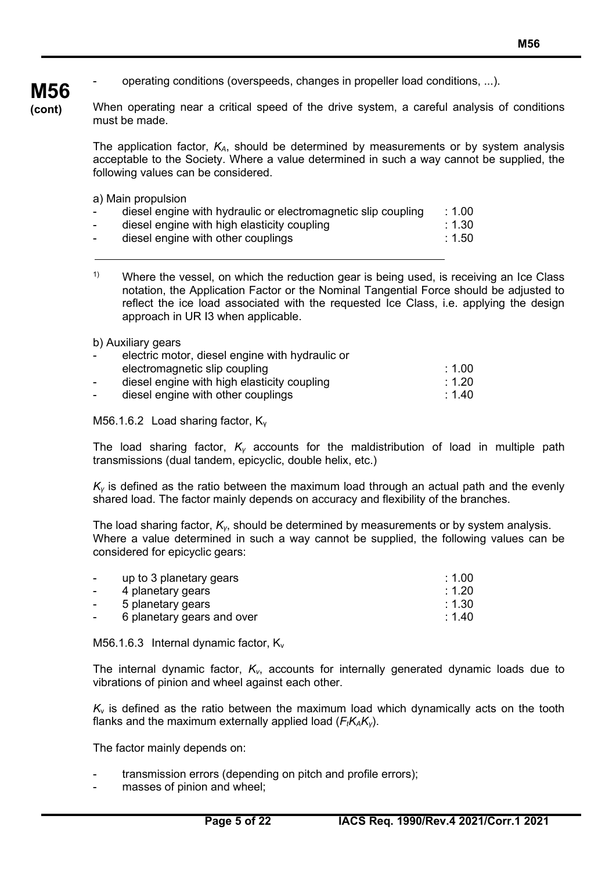# **M56**

**(cont)**

operating conditions (overspeeds, changes in propeller load conditions, ...).

When operating near a critical speed of the drive system, a careful analysis of conditions must be made.

The application factor, *KA*, should be determined by measurements or by system analysis acceptable to the Society. Where a value determined in such a way cannot be supplied, the following values can be considered.

a) Main propulsion

| $\sim$         | diesel engine with hydraulic or electromagnetic slip coupling | : 1.00 |
|----------------|---------------------------------------------------------------|--------|
| $\sim$         | diesel engine with high elasticity coupling                   | : 1.30 |
| $\blacksquare$ | diesel engine with other couplings                            | :1.50  |
|                |                                                               |        |

<sup>1)</sup> Where the vessel, on which the reduction gear is being used, is receiving an Ice Class notation, the Application Factor or the Nominal Tangential Force should be adjusted to reflect the ice load associated with the requested Ice Class, i.e. applying the design approach in UR I3 when applicable.

b) Auxiliary gears

| $\sim$ | electric motor, diesel engine with hydraulic or |                   |
|--------|-------------------------------------------------|-------------------|
|        | electromagnetic slip coupling                   | $\pm 1.00$        |
| $\sim$ | diesel engine with high elasticity coupling     | $\div$ 1.20 $\pm$ |
| $\sim$ | diesel engine with other couplings              | :1.40             |

M56.1.6.2 Load sharing factor, K<sub>v</sub>

The load sharing factor, *K<sup>γ</sup>* accounts for the maldistribution of load in multiple path transmissions (dual tandem, epicyclic, double helix, etc.)

*K<sup>γ</sup>* is defined as the ratio between the maximum load through an actual path and the evenly shared load. The factor mainly depends on accuracy and flexibility of the branches.

The load sharing factor, *Kγ*, should be determined by measurements or by system analysis. Where a value determined in such a way cannot be supplied, the following values can be considered for epicyclic gears:

| $\blacksquare$ | up to 3 planetary gears    | : 1.00 |
|----------------|----------------------------|--------|
| $\blacksquare$ | 4 planetary gears          | : 1.20 |
| $\sim$         | 5 planetary gears          | :1.30  |
| $\sim$         | 6 planetary gears and over | :1.40  |
|                |                            |        |

M56.1.6.3 Internal dynamic factor,  $K_v$ 

The internal dynamic factor, *Kv*, accounts for internally generated dynamic loads due to vibrations of pinion and wheel against each other.

 $K_v$  is defined as the ratio between the maximum load which dynamically acts on the tooth flanks and the maximum externally applied load (*F<sub>t</sub>K<sub>A</sub>K<sub>γ</sub>*).

The factor mainly depends on:

- transmission errors (depending on pitch and profile errors);
- masses of pinion and wheel;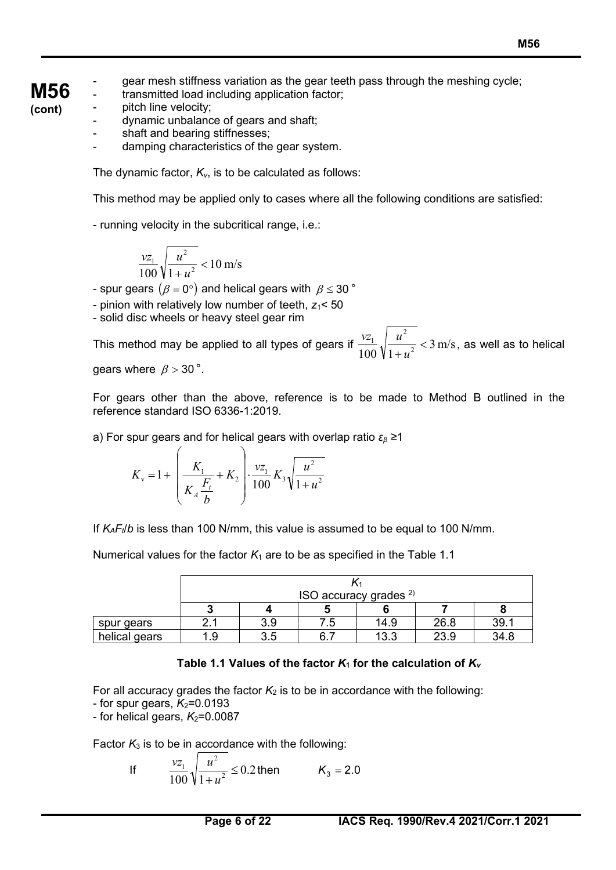**M56** gear mesh stiffness variation as the gear teeth pass through the meshing cycle;

- transmitted load including application factor; pitch line velocity;
- **(cont)**
- dynamic unbalance of gears and shaft;
- shaft and bearing stiffnesses:
- damping characteristics of the gear system.

The dynamic factor, *Kv*, is to be calculated as follows:

This method may be applied only to cases where all the following conditions are satisfied:

- running velocity in the subcritical range, i.e.:

$$
\frac{vz_1}{100}\sqrt{\frac{u^2}{1+u^2}} < 10 \text{ m/s}
$$

- spur gears  $(\beta = 0^{\circ})$  and helical gears with  $\beta \leq 30^{\circ}$
- pinion with relatively low number of teeth,  $z_1$ < 50
- solid disc wheels or heavy steel gear rim

This method may be applied to all types of gears if  $\frac{v-1}{100} \sqrt{\frac{u}{1+u^2}} < 3 \text{ m/s}$ 2  $\frac{1}{2}$   $\sqrt{\frac{u}{1} + \frac{2}{2}}$  < + *u*  $\frac{vz_1}{\sqrt{u^2}}\sqrt{u^2}$  < 3 m/s, as well as to helical

gears where  $\beta > 30$ °.

For gears other than the above, reference is to be made to Method B outlined in the reference standard ISO 6336-1:2019.

a) For spur gears and for helical gears with overlap ratio *εβ ≥*1

$$
K_{\rm v} = 1 + \left(\frac{K_{\rm 1}}{K_{\rm A} \frac{F_{\rm t}}{b}} + K_{\rm 2}\right) \cdot \frac{\nu z_{\rm 1}}{100} K_{\rm 3} \sqrt{\frac{u^2}{1 + u^2}}
$$

If *KAFt*/*b* is less than 100 N/mm, this value is assumed to be equal to 100 N/mm.

Numerical values for the factor  $K_1$  are to be as specified in the Table 1.1

|               |     | ISO accuracy grades $^{2)}$ |     |      |      |      |
|---------------|-----|-----------------------------|-----|------|------|------|
|               |     |                             |     |      |      |      |
| spur gears    |     | 3.9                         | .5  | 14.9 | 26.8 | 39.1 |
| helical gears | l.9 | 3.5                         | 6.7 | 13.3 | 23.9 | 34.8 |

### Table 1.1 Values of the factor  $K_1$  for the calculation of  $K_v$

For all accuracy grades the factor  $K_2$  is to be in accordance with the following:

- for spur gears,  $K_2$ =0.0193

 $-$  for helical gears,  $K_2$ =0.0087

Factor  $K_3$  is to be in accordance with the following:

If 
$$
\frac{vz_1}{100} \sqrt{\frac{u^2}{1+u^2}} \le 0.2
$$
 then  $K_3 = 2.0$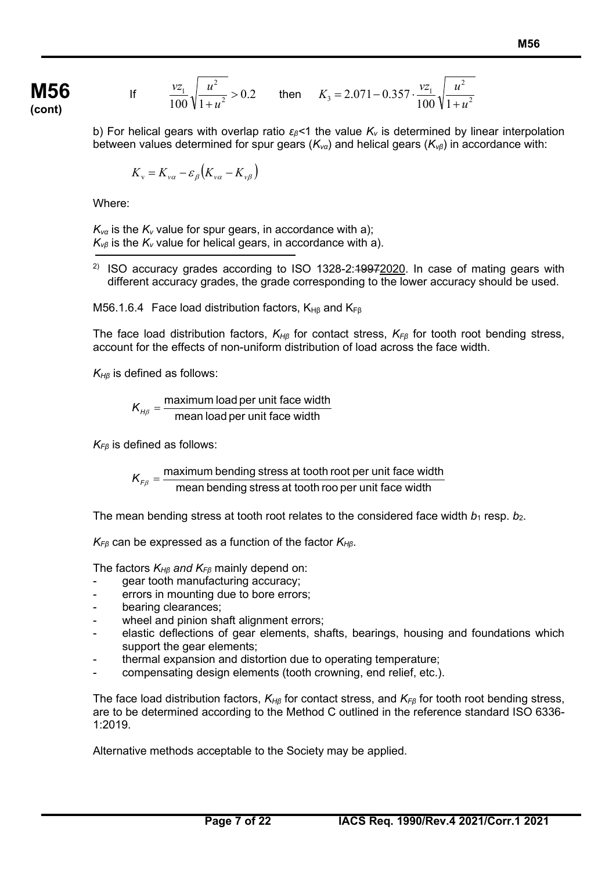If 
$$
\frac{vz_1}{100}\sqrt{\frac{u^2}{1+u^2}} > 0.2
$$
 then  $K_3 = 2.071 - 0.357 \cdot \frac{vz_1}{100}\sqrt{\frac{u^2}{1+u^2}}$ 

b) For helical gears with overlap ratio *εβ<*1 the value *Kv* is determined by linear interpolation between values determined for spur gears (*Kvα*) and helical gears (*Kvβ*) in accordance with:

$$
K_{v} = K_{v\alpha} - \varepsilon_{\beta} (K_{v\alpha} - K_{v\beta})
$$

Where:

 $K_{\text{va}}$  is the  $K_{\text{v}}$  value for spur gears, in accordance with a);  $K_{\nu\beta}$  is the  $K_{\nu}$  value for helical gears, in accordance with a).

<sup>2)</sup> ISO accuracy grades according to ISO 1328-2: $19972020$ . In case of mating gears with different accuracy grades, the grade corresponding to the lower accuracy should be used.

M56.1.6.4 Face load distribution factors,  $K_{H\beta}$  and  $K_{F\beta}$ 

The face load distribution factors, *KHβ* for contact stress, *KFβ* for tooth root bending stress, account for the effects of non-uniform distribution of load across the face width.

*KHβ* is defined as follows:

 $K_{H\beta} = \frac{\text{maximum load per unit face width}}{\text{mean load per unit face width}}$ 

*KFβ* is defined as follows:

 $\kappa_{F\beta} = \frac{\text{maximum bending stress at tooth root per unit face width}}{\text{mean bending stress at tooth roof per unit face width}}$ 

The mean bending stress at tooth root relates to the considered face width  $b_1$  resp.  $b_2$ .

*KFβ* can be expressed as a function of the factor *KHβ*.

The factors *KHβ and KFβ* mainly depend on:

- gear tooth manufacturing accuracy;
- errors in mounting due to bore errors;
- bearing clearances;
- wheel and pinion shaft alignment errors;
- elastic deflections of gear elements, shafts, bearings, housing and foundations which support the gear elements;
- thermal expansion and distortion due to operating temperature;
- compensating design elements (tooth crowning, end relief, etc.).

The face load distribution factors, *KH<sup>β</sup>* for contact stress, and *KFβ* for tooth root bending stress, are to be determined according to the Method C outlined in the reference standard ISO 6336- 1:2019.

Alternative methods acceptable to the Society may be applied.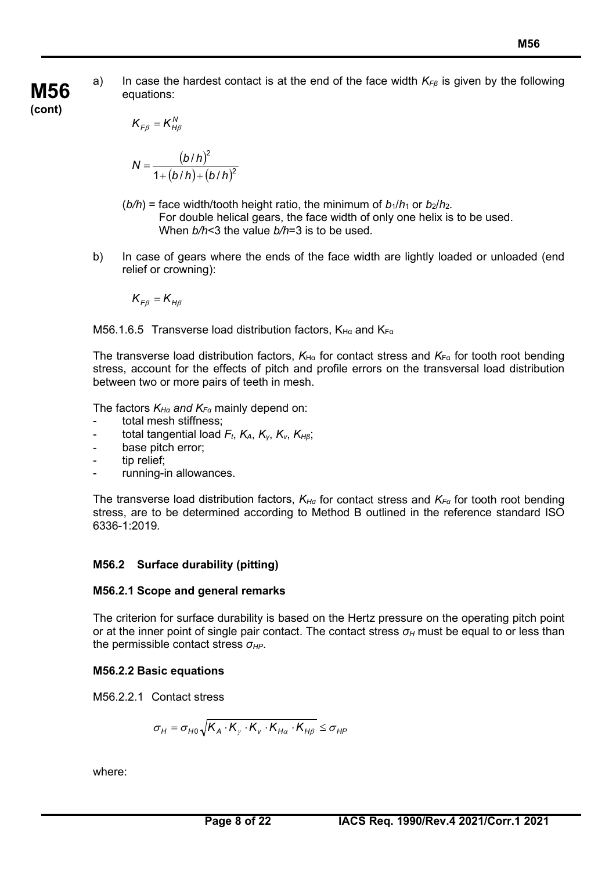a) In case the hardest contact is at the end of the face width *KFβ* is given by the following equations:

**M56 (cont)**

$$
K_{F\beta} = K_{H\beta}^N
$$

$$
N = \frac{(b/h)^2}{1 + (b/h) + (b/h)^2}
$$

- $(b/h)$  = face width/tooth height ratio, the minimum of  $b_1/h_1$  or  $b_2/h_2$ . For double helical gears, the face width of only one helix is to be used. When *b/h*<3 the value *b/h*=3 is to be used.
- b) In case of gears where the ends of the face width are lightly loaded or unloaded (end relief or crowning):

$$
K_{F\beta}=K_{H\beta}
$$

M56.1.6.5 Transverse load distribution factors,  $K_{H\alpha}$  and  $K_{F\alpha}$ 

The transverse load distribution factors,  $K_{H\alpha}$  for contact stress and  $K_{F\alpha}$  for tooth root bending stress, account for the effects of pitch and profile errors on the transversal load distribution between two or more pairs of teeth in mesh.

The factors *KHα and KF<sup>α</sup>* mainly depend on:

- total mesh stiffness;
- total tangential load *Ft*, *KA*, *Kγ*, *Kv*, *KHβ*;
- base pitch error;
- tip relief;
- running-in allowances.

The transverse load distribution factors, *KHα* for contact stress and *KFα* for tooth root bending stress, are to be determined according to Method B outlined in the reference standard ISO 6336-1:2019.

### **M56.2 Surface durability (pitting)**

### **M56.2.1 Scope and general remarks**

The criterion for surface durability is based on the Hertz pressure on the operating pitch point or at the inner point of single pair contact. The contact stress *σ<sup>H</sup>* must be equal to or less than the permissible contact stress *σHP*.

### **M56.2.2 Basic equations**

M56.2.2.1 Contact stress

$$
\sigma_{H} = \sigma_{H0} \sqrt{K_A \cdot K_{\gamma} \cdot K_{v} \cdot K_{H\alpha} \cdot K_{H\beta}} \le \sigma_{HP}
$$

where: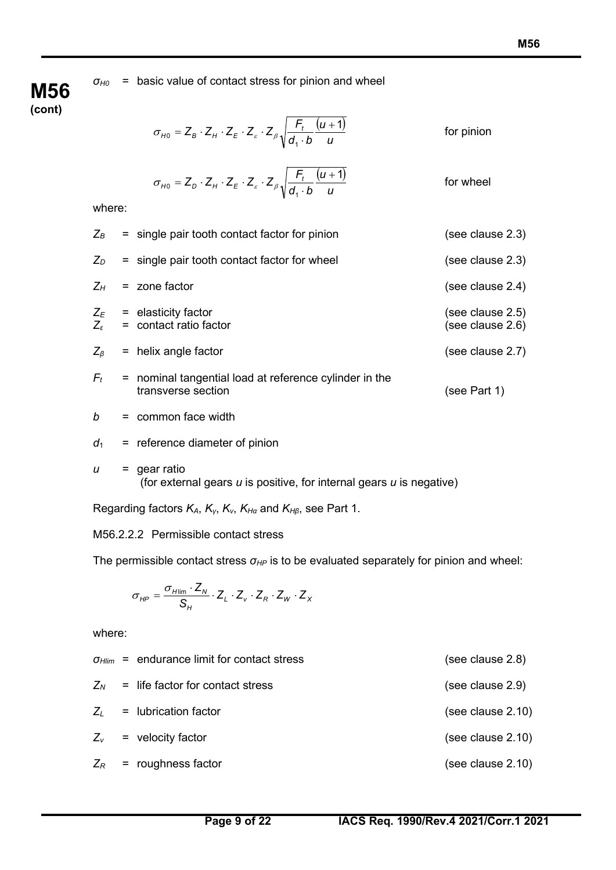*σH0* = basic value of contact stress for pinion and wheel

## **M56 (cont)**

$$
\sigma_{H0} = Z_B \cdot Z_H \cdot Z_E \cdot Z_s \cdot Z_\beta \sqrt{\frac{F_t}{d_1 \cdot b} \frac{(u+1)}{u}}
$$
 for pinion

$$
\sigma_{H0} = Z_D \cdot Z_H \cdot Z_E \cdot Z_g \cdot Z_\beta \sqrt{\frac{F_t}{d_1 \cdot b} \frac{(u+1)}{u}}
$$
 for wheel

where:

| $Z_B$                                                                                  |     | $=$ single pair tooth contact factor for pinion                                        | (see clause 2.3)                     |
|----------------------------------------------------------------------------------------|-----|----------------------------------------------------------------------------------------|--------------------------------------|
| $Z_D$                                                                                  |     | $=$ single pair tooth contact factor for wheel                                         | (see clause 2.3)                     |
| $Z_H$                                                                                  |     | = zone factor                                                                          | (see clause 2.4)                     |
|                                                                                        |     | $Z_E$ = elasticity factor<br>$Z_{\epsilon}$ = contact ratio factor                     | (see clause 2.5)<br>(see clause 2.6) |
| $Z_{\beta}$                                                                            |     | $=$ helix angle factor                                                                 | (see clause 2.7)                     |
| $F_t$                                                                                  |     | = nominal tangential load at reference cylinder in the<br>transverse section           | (see Part 1)                         |
| b                                                                                      |     | $=$ common face width                                                                  |                                      |
| $d_1$                                                                                  |     | $=$ reference diameter of pinion                                                       |                                      |
| u                                                                                      | $=$ | gear ratio<br>(for external gears $u$ is positive, for internal gears $u$ is negative) |                                      |
| Regarding factors $K_A$ , $K_Y$ , $K_V$ , $K_{H\alpha}$ and $K_{H\beta}$ , see Part 1. |     |                                                                                        |                                      |

M56.2.2.2 Permissible contact stress

The permissible contact stress  $σ<sub>HP</sub>$  is to be evaluated separately for pinion and wheel:

$$
\sigma_{HP} = \frac{\sigma_{H\text{lim}} \cdot Z_N}{S_H} \cdot Z_L \cdot Z_v \cdot Z_R \cdot Z_W \cdot Z_X
$$

where:

|  | $\sigma_{Hlim}$ = endurance limit for contact stress | (see clause 2.8)  |
|--|------------------------------------------------------|-------------------|
|  | $Z_N$ = life factor for contact stress               | (see clause 2.9)  |
|  | $Z_i$ = lubrication factor                           | (see clause 2.10) |
|  | $Z_v$ = velocity factor                              | (see clause 2.10) |
|  | $Z_R$ = roughness factor                             | (see clause 2.10) |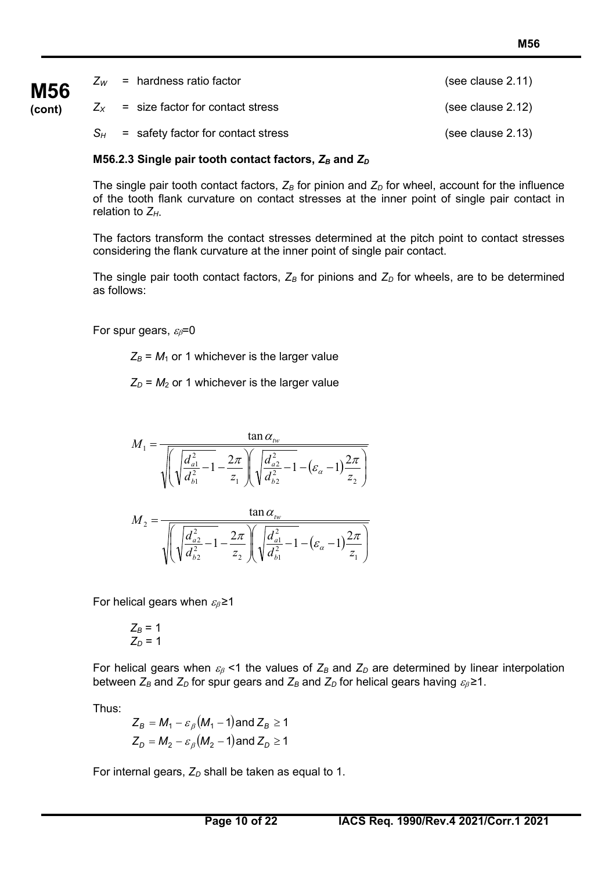| <b>M56</b> | $Z_W$ = hardness ratio factor            | (see clause 2.11) |
|------------|------------------------------------------|-------------------|
| (cont)     | $Z_{x}$ = size factor for contact stress | (see clause 2.12) |
|            | $S_H$ = safety factor for contact stress | (see clause 2.13) |

### **M56.2.3 Single pair tooth contact factors,**  $Z_B$  **and**  $Z_D$

The single pair tooth contact factors,  $Z_B$  for pinion and  $Z_D$  for wheel, account for the influence of the tooth flank curvature on contact stresses at the inner point of single pair contact in relation to *ZH*.

The factors transform the contact stresses determined at the pitch point to contact stresses considering the flank curvature at the inner point of single pair contact.

The single pair tooth contact factors,  $Z_B$  for pinions and  $Z_D$  for wheels, are to be determined as follows:

For spur gears,  $\varepsilon_{\beta}=0$ 

 $Z_B$  =  $M_1$  or 1 whichever is the larger value

 $Z_D = M_2$  or 1 whichever is the larger value

$$
M_1 = \frac{\tan \alpha_{\scriptscriptstyle{fw}}}{\sqrt{\left(\sqrt{\frac{d_{a1}^2}{d_{b1}^2} - 1} - \frac{2\pi}{z_1}\right)\left(\sqrt{\frac{d_{a2}^2}{d_{b2}^2} - 1} - (\varepsilon_{\alpha} - 1)\frac{2\pi}{z_2}\right)}}
$$

$$
M_2 = \frac{\tan \alpha_{\scriptscriptstyle{fw}}}{\sqrt{\left(\sqrt{\frac{d_{a2}^2}{d_{b2}^2} - 1 - \frac{2\pi}{z_2}}\right) \left(\sqrt{\frac{d_{a1}^2}{d_{b1}^2} - 1 - (\varepsilon_{\alpha} - 1)\frac{2\pi}{z_1}}\right)}}
$$

For helical gears when  $\varepsilon_{\beta}$  ≥1

$$
Z_B = 1
$$
  

$$
Z_D = 1
$$

For helical gears when  $\varepsilon_B$  <1 the values of  $Z_B$  and  $Z_D$  are determined by linear interpolation between  $Z_B$  and  $Z_D$  for spur gears and  $Z_B$  and  $Z_D$  for helical gears having  $\varepsilon_\beta \ge 1$ .

Thus:

$$
Z_B = M_1 - \varepsilon_\beta (M_1 - 1) \text{ and } Z_B \ge 1
$$
  

$$
Z_D = M_2 - \varepsilon_\beta (M_2 - 1) \text{ and } Z_D \ge 1
$$

For internal gears,  $Z_D$  shall be taken as equal to 1.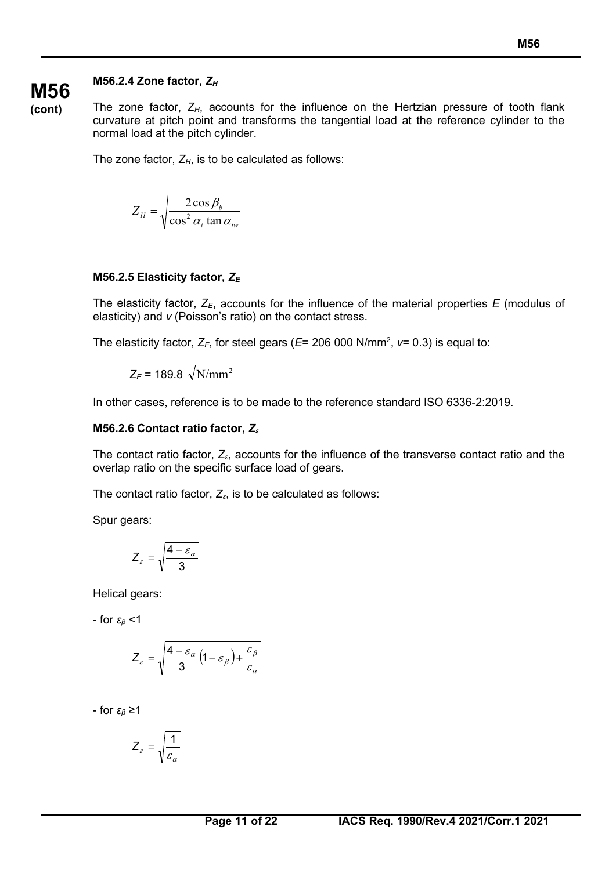### **M56.2.4 Zone factor,** *ZH*

**(cont)** The zone factor,  $Z_H$ , accounts for the influence on the Hertzian pressure of tooth flank curvature at pitch point and transforms the tangential load at the reference cylinder to the normal load at the pitch cylinder.

The zone factor,  $Z_H$ , is to be calculated as follows:

$$
Z_H = \sqrt{\frac{2\cos\beta_b}{\cos^2\alpha_t \tan\alpha_w}}
$$

### **M56.2.5 Elasticity factor,** *ZE*

The elasticity factor,  $Z_{E}$ , accounts for the influence of the material properties *E* (modulus of elasticity) and *ν* (Poisson's ratio) on the contact stress.

The elasticity factor, *ZE*, for steel gears (*E*= 206 000 N/mm2 , *ν*= 0.3) is equal to:

 $Z_F = 189.8 \sqrt{N/mm^2}$ 

In other cases, reference is to be made to the reference standard ISO 6336-2:2019.

### **M56.2.6 Contact ratio factor,** *Z<sup>ε</sup>*

The contact ratio factor, *Zε*, accounts for the influence of the transverse contact ratio and the overlap ratio on the specific surface load of gears.

The contact ratio factor, *Zε*, is to be calculated as follows:

Spur gears:

$$
Z_{\varepsilon} = \sqrt{\frac{4 - \varepsilon_{\alpha}}{3}}
$$

Helical gears:

- for *εβ* <1

$$
Z_{\varepsilon} = \sqrt{\frac{4-\varepsilon_{\alpha}}{3} \left(1-\varepsilon_{\beta}\right) + \frac{\varepsilon_{\beta}}{\varepsilon_{\alpha}}}
$$

- for *εβ* ≥1

$$
Z_{\varepsilon} = \sqrt{\frac{1}{\varepsilon_{\alpha}}}
$$

**M56**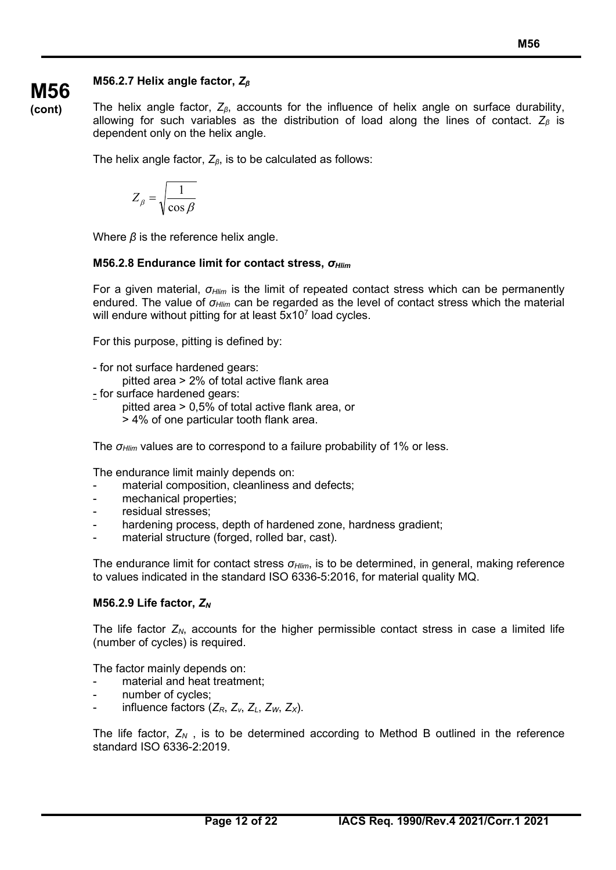### **M56.2.7 Helix angle factor,** *Z<sup>β</sup>*

**(cont)**

**M56**

The helix angle factor, *Zβ*, accounts for the influence of helix angle on surface durability, allowing for such variables as the distribution of load along the lines of contact. *Z<sup>β</sup>* is dependent only on the helix angle.

The helix angle factor, *Zβ*, is to be calculated as follows:

$$
Z_{\beta} = \sqrt{\frac{1}{\cos \beta}}
$$

Where *β* is the reference helix angle.

### **M56.2.8 Endurance limit for contact stress,** *σHlim*

For a given material, *σHlim* is the limit of repeated contact stress which can be permanently endured. The value of *σHlim* can be regarded as the level of contact stress which the material will endure without pitting for at least  $5x10<sup>7</sup>$  load cycles.

For this purpose, pitting is defined by:

- for not surface hardened gears:
	- pitted area > 2% of total active flank area
- for surface hardened gears:
	- pitted area > 0,5% of total active flank area, or
		- > 4% of one particular tooth flank area.

The *σHlim* values are to correspond to a failure probability of 1% or less.

The endurance limit mainly depends on:

- material composition, cleanliness and defects;
- mechanical properties;
- residual stresses:
- hardening process, depth of hardened zone, hardness gradient;
- material structure (forged, rolled bar, cast).

The endurance limit for contact stress *σHlim*, is to be determined, in general, making reference to values indicated in the standard ISO 6336-5:2016, for material quality MQ.

### **M56.2.9 Life factor,** *ZN*

The life factor  $Z_N$ , accounts for the higher permissible contact stress in case a limited life (number of cycles) is required.

The factor mainly depends on:

- material and heat treatment;
- number of cycles;
- influence factors (*ZR*, *Zv*, *ZL*, *ZW*, *ZX*).

The life factor,  $Z_N$ , is to be determined according to Method B outlined in the reference standard ISO 6336-2:2019.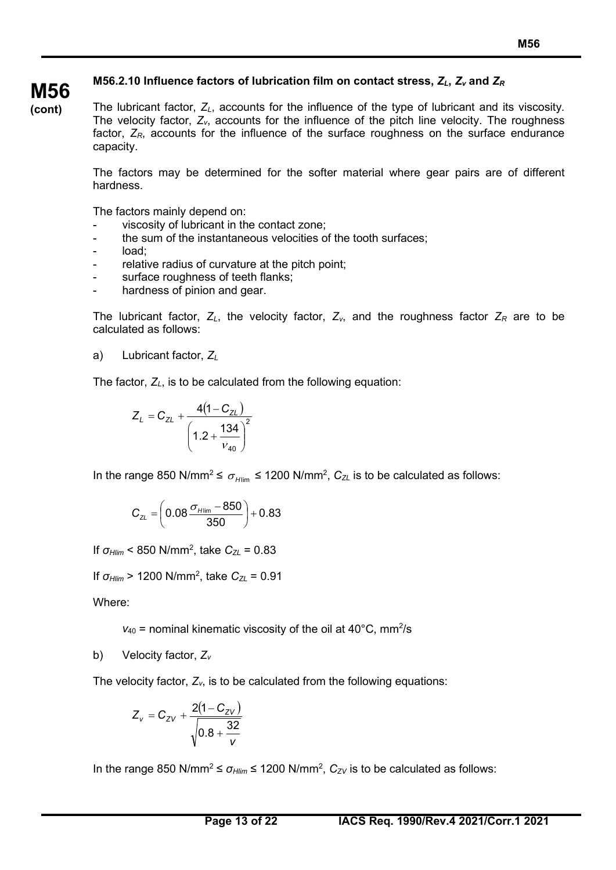### **M56.2.10 Influence factors of lubrication film on contact stress,** *ZL***,** *Zv* **and** *ZR*

The lubricant factor, *ZL*, accounts for the influence of the type of lubricant and its viscosity. The velocity factor, *Zv*, accounts for the influence of the pitch line velocity. The roughness factor,  $Z_R$ , accounts for the influence of the surface roughness on the surface endurance capacity.

The factors may be determined for the softer material where gear pairs are of different hardness.

The factors mainly depend on:

- viscosity of lubricant in the contact zone:
- the sum of the instantaneous velocities of the tooth surfaces:
- load:

**M56 (cont)**

- relative radius of curvature at the pitch point;
- surface roughness of teeth flanks;
- hardness of pinion and gear.

The lubricant factor,  $Z_L$ , the velocity factor,  $Z_v$ , and the roughness factor  $Z_R$  are to be calculated as follows:

a) Lubricant factor, *ZL*

The factor, *ZL*, is to be calculated from the following equation:

$$
Z_L = C_{ZL} + \frac{4(1 - C_{ZL})}{\left(1.2 + \frac{134}{v_{40}}\right)^2}
$$

In the range 850 N/mm<sup>2</sup> ≤  $\sigma_{\text{Hlim}}$  ≤ 1200 N/mm<sup>2</sup>, C<sub>ZL</sub> is to be calculated as follows:

$$
C_{\text{ZL}} = \left(0.08 \frac{\sigma_{\text{Hlim}} - 850}{350}\right) + 0.83
$$

If *σHlim* < 850 N/mm2 , take *CZL* = 0.83

If *σHlim* > 1200 N/mm2 , take *CZL* = 0.91

Where:

 $v_{40}$  = nominal kinematic viscosity of the oil at 40 $^{\circ}$ C, mm<sup>2</sup>/s

b) Velocity factor, *Zv*

The velocity factor,  $Z_v$ , is to be calculated from the following equations:

$$
Z_v = C_{ZV} + \frac{2(1-C_{ZV})}{\sqrt{0.8 + \frac{32}{v}}}
$$

In the range 850 N/mm<sup>2</sup> ≤  $\sigma$ <sub>*Hlim*</sub> ≤ 1200 N/mm<sup>2</sup>,  $C$ <sub>ZV</sub> is to be calculated as follows: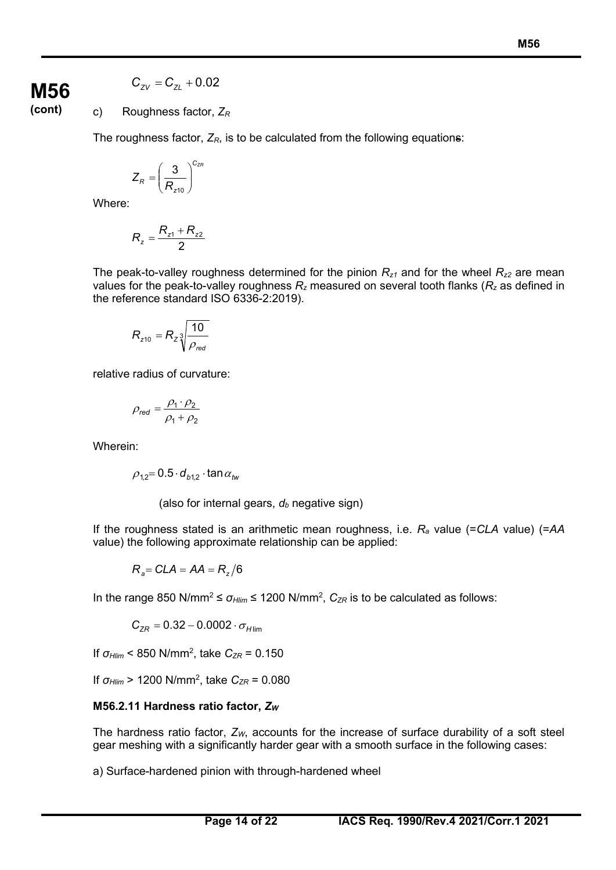### **M56 (cont)**

### $C_{ZV} = C_{ZI} + 0.02$

c) Roughness factor, *ZR*

The roughness factor,  $Z_R$ , is to be calculated from the following equations:

$$
Z_R = \left(\frac{3}{R_{z10}}\right)^{C_{ZR}}
$$

Where:

$$
R_{z} = \frac{R_{z1} + R_{z2}}{2}
$$

The peak-to-valley roughness determined for the pinion  $R_{z1}$  and for the wheel  $R_{z2}$  are mean values for the peak-to-valley roughness *Rz* measured on several tooth flanks (*Rz* as defined in the reference standard ISO 6336-2:2019).

$$
R_{z10} = R_z \sqrt[3]{\frac{10}{\rho_{\text{red}}}}
$$

relative radius of curvature:

$$
\rho_{\text{red}} = \frac{\rho_1 \cdot \rho_2}{\rho_1 + \rho_2}
$$

Wherein:

 $\rho_{12}$  = 0.5  $\cdot$  d<sub>b12</sub>  $\cdot$  tan  $\alpha_{tw}$ 

(also for internal gears,  $d_b$  negative sign)

If the roughness stated is an arithmetic mean roughness, i.e. *Ra* value (=*CLA* value) (=*AA* value) the following approximate relationship can be applied:

$$
R_{a} = CLA = AA = R_{z}/6
$$

In the range 850 N/mm<sup>2</sup> ≤  $\sigma$ <sub>*Hlim*</sub> ≤ 1200 N/mm<sup>2</sup>,  $C_{ZR}$  is to be calculated as follows:

$$
C_{ZR}=0.32-0.0002\cdot\sigma_{H\text{lim}}
$$

If *σ<sub>Hlim</sub>* < 850 N/mm<sup>2</sup>, take *C<sub>ZR</sub>* = 0.150

If *σ<sub>Hlim</sub>* > 1200 N/mm<sup>2</sup>, take *C<sub>ZR</sub>* = 0.080

### **M56.2.11 Hardness ratio factor,** *ZW*

The hardness ratio factor,  $Z_W$ , accounts for the increase of surface durability of a soft steel gear meshing with a significantly harder gear with a smooth surface in the following cases:

a) Surface-hardened pinion with through-hardened wheel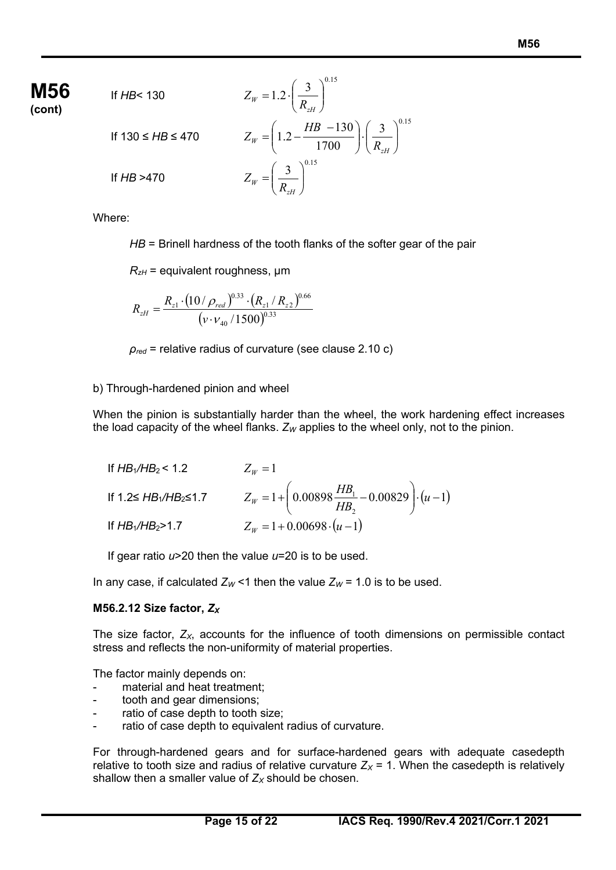### **Page 15 of 22 IACS Req. 1990/Rev.4 2021/Corr.1 2021**

If *HB* < 130  
\nIf 
$$
130 \leq HB \leq 470
$$
  
\nIf  $130 \leq HB \leq 470$   
\nIf  $HB > 470$   
\nIf  $HB > 470$   
\n
$$
Z_{W} = \left(1.2 - \frac{HB - 130}{1700}\right) \cdot \left(\frac{3}{R_{zH}}\right)^{0.15}
$$
\nIf  $HB > 470$   
\n
$$
Z_{W} = \left(\frac{3}{R_{zH}}\right)^{0.15}
$$

 $= 1.2 \cdot$ 

Where:

If *HB*< 130

*HB* = Brinell hardness of the tooth flanks of the softer gear of the pair

 $\backslash$ 

 $R_{zH}$  = equivalent roughness,  $\mu$ m

$$
R_{zH} = \frac{R_{z1} \cdot (10/\rho_{red})^{0.33} \cdot (R_{z1}/R_{z2})^{0.66}}{(\nu \cdot \nu_{40}/1500)^{0.33}}
$$

*ρred* = relative radius of curvature (see clause 2.10 c)

### b) Through-hardened pinion and wheel

When the pinion is substantially harder than the wheel, the work hardening effect increases the load capacity of the wheel flanks.  $Z_W$  applies to the wheel only, not to the pinion.

| If $HB_1/HB_2 < 1.2$             | $Z_w=1$                                                                               |
|----------------------------------|---------------------------------------------------------------------------------------|
| If $1.2 \leq HB_1/HB_2 \leq 1.7$ | $Z_W = 1 + \left(0.00898 \frac{HB_1}{HB_2} - 0.00829\right) \cdot \left(u - 1\right)$ |
| If $HB_1/HB_2 > 1.7$             | $Z_W = 1 + 0.00698 \cdot (u-1)$                                                       |

If gear ratio *u*>20 then the value *u*=20 is to be used.

In any case, if calculated  $Z_W$  <1 then the value  $Z_W$  = 1.0 is to be used.

### **M56.2.12 Size factor,** *ZX*

The size factor,  $Z_{X}$ , accounts for the influence of tooth dimensions on permissible contact stress and reflects the non-uniformity of material properties.

The factor mainly depends on:

- material and heat treatment:
- tooth and gear dimensions;
- ratio of case depth to tooth size;
- ratio of case depth to equivalent radius of curvature.

For through-hardened gears and for surface-hardened gears with adequate casedepth relative to tooth size and radius of relative curvature  $Z_x = 1$ . When the casedepth is relatively shallow then a smaller value of  $Z_X$  should be chosen.

$$
\mathop{\text{M56}}_{\text{(cont)}}
$$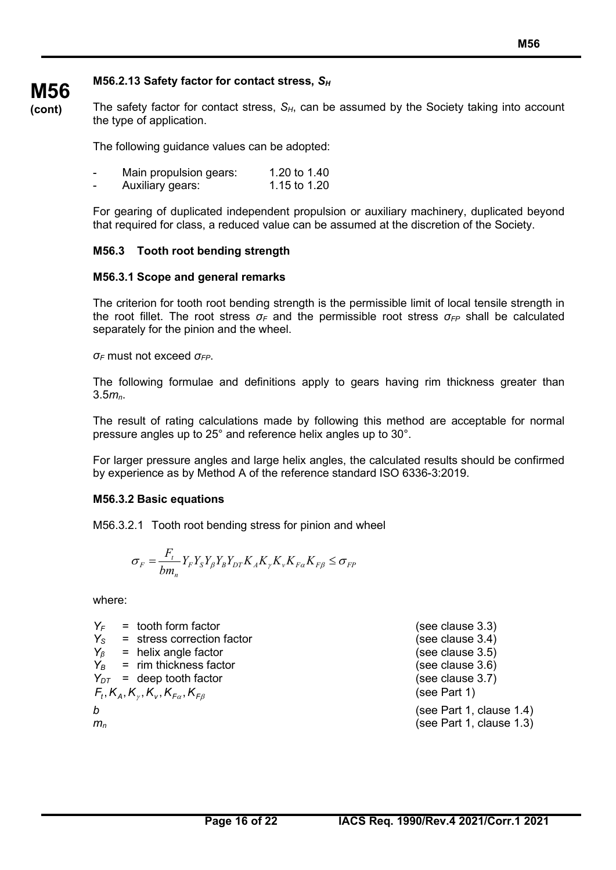### **M56.2.13 Safety factor for contact stress,** *SH*

**(cont)** The safety factor for contact stress,  $S_H$ , can be assumed by the Society taking into account the type of application.

The following guidance values can be adopted:

| Main propulsion gears: | 1.20 to 1.40 |
|------------------------|--------------|
|                        |              |

Auxiliary gears: 1.15 to 1.20

For gearing of duplicated independent propulsion or auxiliary machinery, duplicated beyond that required for class, a reduced value can be assumed at the discretion of the Society.

### **M56.3 Tooth root bending strength**

### **M56.3.1 Scope and general remarks**

The criterion for tooth root bending strength is the permissible limit of local tensile strength in the root fillet. The root stress *σ<sup>F</sup>* and the permissible root stress *σFP* shall be calculated separately for the pinion and the wheel.

*σ<sup>F</sup>* must not exceed *σFP*.

**M56**

The following formulae and definitions apply to gears having rim thickness greater than 3.5*mn*.

The result of rating calculations made by following this method are acceptable for normal pressure angles up to 25° and reference helix angles up to 30°.

For larger pressure angles and large helix angles, the calculated results should be confirmed by experience as by Method A of the reference standard ISO 6336-3:2019.

### **M56.3.2 Basic equations**

M56.3.2.1 Tooth root bending stress for pinion and wheel

$$
\sigma_F = \frac{F_t}{bm_n} Y_F Y_S Y_\beta Y_B Y_{DT} K_A K_\gamma K_\nu K_{F\alpha} K_{F\beta} \le \sigma_{FP}
$$

where:

| YF                         | $=$ tooth form factor                                                  | (see clause 3.3)         |
|----------------------------|------------------------------------------------------------------------|--------------------------|
|                            | $Y_{\rm s}$ = stress correction factor                                 | (see clause 3.4)         |
|                            | $Y_\beta$ = helix angle factor                                         | (see clause 3.5)         |
|                            | $Y_B$ = rim thickness factor                                           | (see clause 3.6)         |
|                            | $Y_{DT}$ = deep tooth factor                                           | (see clause 3.7)         |
|                            | $F_{t}$ , $K_{A}$ , $K_{\nu}$ , $K_{V}$ , $K_{F\alpha}$ , $K_{F\beta}$ | (see Part 1)             |
| b                          |                                                                        | (see Part 1, clause 1.4) |
| $m_{\scriptscriptstyle D}$ |                                                                        | (see Part 1, clause 1.3) |
|                            |                                                                        |                          |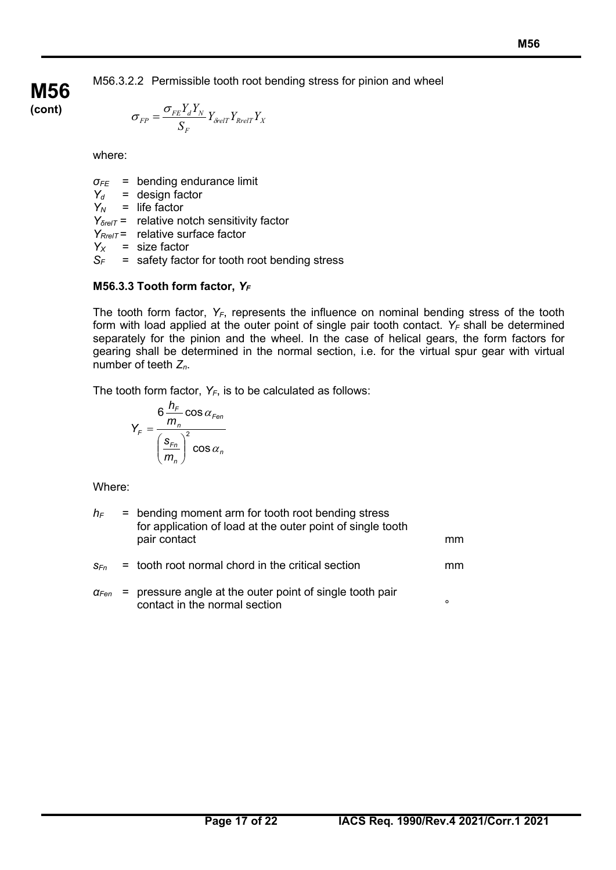M56.3.2.2 Permissible tooth root bending stress for pinion and wheel

$$
\sigma_{FP} = \frac{\sigma_{FE} Y_d Y_N}{S_F} Y_{\delta relT} Y_{RrelT} Y_X
$$

where:

**M56 (cont)**

*σFE* = bending endurance limit

*Yd* = design factor

 $Y_N$  = life factor

*Y*<sub>*δrelT*</sub> = relative notch sensitivity factor

*Y<sub>RrelT</sub>* = relative surface factor

 $Y_x$  = size factor

*SF* = safety factor for tooth root bending stress

### **M56.3.3 Tooth form factor, Y<sub>F</sub>**

The tooth form factor,  $Y_F$ , represents the influence on nominal bending stress of the tooth form with load applied at the outer point of single pair tooth contact.  $Y_F$  shall be determined separately for the pinion and the wheel. In the case of helical gears, the form factors for gearing shall be determined in the normal section, i.e. for the virtual spur gear with virtual number of teeth *Zn*.

The tooth form factor,  $Y_F$ , is to be calculated as follows:

$$
Y_F = \frac{6 \frac{h_F}{m_n} \cos \alpha_{Fen}}{\left(\frac{s_{Fn}}{m_n}\right)^2 \cos \alpha_n}
$$

Where:

| $h_{\text{F}}$          | = bending moment arm for tooth root bending stress<br>for application of load at the outer point of single tooth<br>pair contact | mm      |
|-------------------------|----------------------------------------------------------------------------------------------------------------------------------|---------|
| $S_{Fn}$                | = tooth root normal chord in the critical section                                                                                | mm      |
| $\alpha_{\textit{Fen}}$ | = pressure angle at the outer point of single tooth pair<br>contact in the normal section                                        | $\circ$ |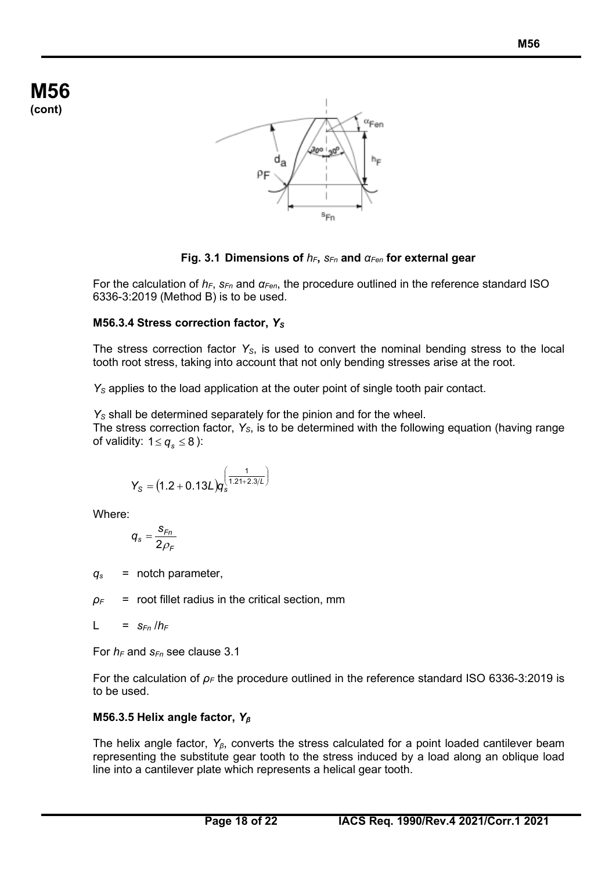

**Fig. 3.1 Dimensions of**  $h$ <sup>*F*</sup>, *S*<sub>*Fn</sub>* **and** *α*<sub>*Fen*</sub> for external gear</sub>

For the calculation of *hF*, *sFn* and *αFen*, the procedure outlined in the reference standard ISO 6336-3:2019 (Method B) is to be used.

### **M56.3.4 Stress correction factor, Y<sub>S</sub>**

The stress correction factor *YS*, is used to convert the nominal bending stress to the local tooth root stress, taking into account that not only bending stresses arise at the root.

*YS* applies to the load application at the outer point of single tooth pair contact.

*Y<sub>S</sub>* shall be determined separately for the pinion and for the wheel. The stress correction factor, *YS*, is to be determined with the following equation (having range of validity:  $1 \le q_s \le 8$  ):

$$
Y_{\text{S}} = \big(1.2 + 0.13 L\big)q_{\text{s}}^{\bigg(\frac{1}{1.21 + 2.3/L}\bigg)}
$$

Where:

$$
q_s = \frac{s_{Fn}}{2\rho_F}
$$

 $q_s$  = notch parameter.

 $\rho_F$  = root fillet radius in the critical section, mm

$$
L = s_{Fn} / h_F
$$

For  $h_F$  and  $s_{Fn}$  see clause 3.1

For the calculation of *ρ<sup>F</sup>* the procedure outlined in the reference standard ISO 6336-3:2019 is to be used.

### **M56.3.5 Helix angle factor,** *Y<sup>β</sup>*

The helix angle factor, *Yβ*, converts the stress calculated for a point loaded cantilever beam representing the substitute gear tooth to the stress induced by a load along an oblique load line into a cantilever plate which represents a helical gear tooth.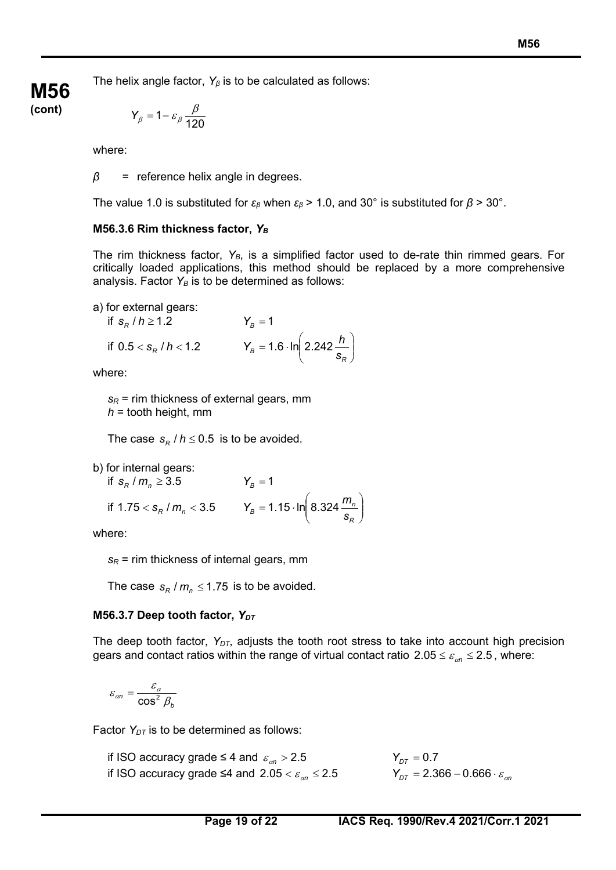The helix angle factor, *Y<sup>β</sup>* is to be calculated as follows:

$$
Y_{\beta} = 1 - \varepsilon_{\beta} \frac{\beta}{120}
$$

where:

**M56 (cont)**

*β* = reference helix angle in degrees.

The value 1.0 is substituted for *εβ* when *εβ* > 1.0, and 30° is substituted for *β* > 30°.

### **M56.3.6 Rim thickness factor,** *YB*

The rim thickness factor, Y<sub>B</sub>, is a simplified factor used to de-rate thin rimmed gears. For critically loaded applications, this method should be replaced by a more comprehensive analysis. Factor  $Y_B$  is to be determined as follows:

a) for external gears:

if 
$$
s_R / h \ge 1.2
$$
  
\n $Y_B = 1$   
\nif  $0.5 < s_R / h < 1.2$   
\n $Y_B = 1.6 \cdot \ln \left( 2.242 \frac{h}{s_R} \right)$ 

where:

 $s_R$  = rim thickness of external gears, mm *h* = tooth height, mm

The case  $s_R / h \leq 0.5$  is to be avoided.

b) for internal gears:

if  $s_R / m_n \ge 3.5$   $Y_B = 1$ if 1.75  $<$  s<sub>R</sub> /  $m_n$   $<$  3.5  $Y_B$  = 1.15  $\cdot$  ln  $\left[ 8.324 \frac{m_n}{s} \right]$ J  $\backslash$  $\overline{\phantom{a}}$  $\setminus$  $= 1.15 \cdot \ln$ *R*  $T_B$  = 1.15  $\cdot$  ln  $\left($  8.324  $\frac{m_B}{s_B}$  $Y_B = 1.15 \cdot \ln \left( 8.324 \frac{m}{m} \right)$ 

where:

 $s_R$  = rim thickness of internal gears, mm

The case  $s_R / m_n \leq 1.75$  is to be avoided.

### **M56.3.7** Deep tooth factor,  $Y_{DT}$

The deep tooth factor,  $Y_{DT}$ , adjusts the tooth root stress to take into account high precision gears and contact ratios within the range of virtual contact ratio  $2.05 \le \varepsilon_{\alpha n} \le 2.5$ , where:

$$
\varepsilon_{\alpha n} = \frac{\varepsilon_{\alpha}}{\cos^2 \beta_b}
$$

Factor  $Y_{DT}$  is to be determined as follows:

if ISO accuracy grade  $\leq 4$  and  $\varepsilon_{on} > 2.5$  *Y<sub>DT</sub>* = 0.7 if ISO accuracy grade ≤4 and  $2.05 < \varepsilon_{on} \le 2.5$  *Y*<sub>DT</sub> = 2.366 – 0.666 ⋅  $\varepsilon_{on}$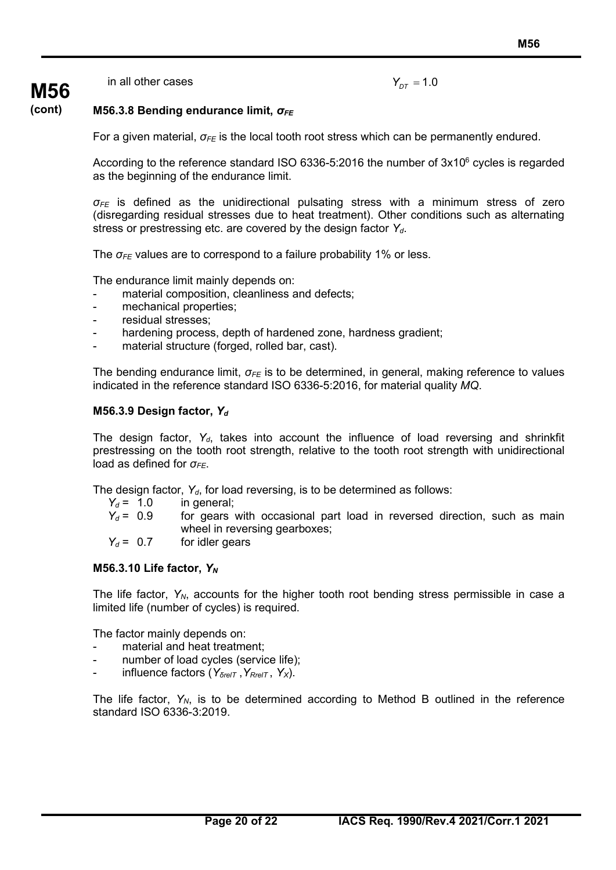in all other cases **Y** 

**M56**

$$
Y_{DT} = 1.0
$$

#### **(cont) M56.3.8 Bending endurance limit,** *σFE*

For a given material, *σFE* is the local tooth root stress which can be permanently endured.

According to the reference standard ISO 6336-5:2016 the number of  $3x10^6$  cycles is regarded as the beginning of the endurance limit.

*σFE* is defined as the unidirectional pulsating stress with a minimum stress of zero (disregarding residual stresses due to heat treatment). Other conditions such as alternating stress or prestressing etc. are covered by the design factor *Yd*.

The *σFE* values are to correspond to a failure probability 1% or less.

The endurance limit mainly depends on:

- material composition, cleanliness and defects;
- mechanical properties;
- residual stresses;
- hardening process, depth of hardened zone, hardness gradient;
- material structure (forged, rolled bar, cast).

The bending endurance limit, *σFE* is to be determined, in general, making reference to values indicated in the reference standard ISO 6336-5:2016, for material quality *MQ*.

#### **M56.3.9 Design factor,** *Yd*

The design factor, Y<sub>d</sub>, takes into account the influence of load reversing and shrinkfit prestressing on the tooth root strength, relative to the tooth root strength with unidirectional load as defined for  $\sigma$ <sub>FF</sub>.

The design factor,  $Y_{d}$ , for load reversing, is to be determined as follows:

| $Y_d = 1.0$ | in general:                                                             |
|-------------|-------------------------------------------------------------------------|
| $Y_d = 0.9$ | for gears with occasional part load in reversed direction, such as main |
|             | wheel in reversing gearboxes;                                           |
| $Y_d = 0.7$ | for idler gears                                                         |

#### **M56.3.10 Life factor,** *YN*

The life factor,  $Y_N$ , accounts for the higher tooth root bending stress permissible in case a limited life (number of cycles) is required.

The factor mainly depends on:

- material and heat treatment;
- number of load cycles (service life);
- influence factors (*YδrelT* ,*YRrelT* , *YX*).

The life factor,  $Y_N$ , is to be determined according to Method B outlined in the reference standard ISO 6336-3:2019.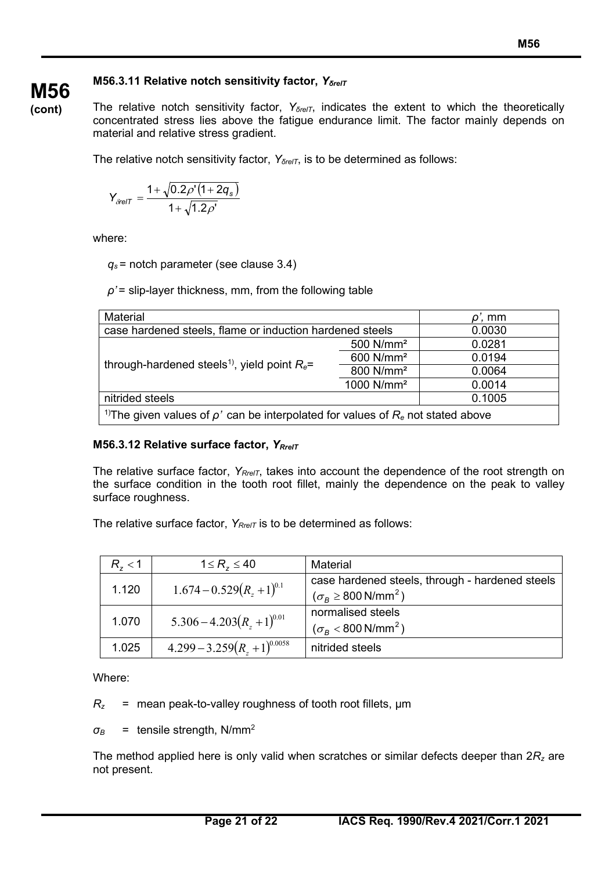### **M56.3.11 Relative notch sensitivity factor,** *YδrelT*

**(cont)**

**M56**

The relative notch sensitivity factor, *Y*<sub>*δrelT*</sub>, indicates the extent to which the theoretically concentrated stress lies above the fatigue endurance limit. The factor mainly depends on material and relative stress gradient.

The relative notch sensitivity factor, *Y*<sub>*δrelT*</sub>, is to be determined as follows:

$$
Y_{\delta relT} = \frac{1 + \sqrt{0.2 \rho' (1 + 2q_s)}}{1 + \sqrt{1.2 \rho'}}
$$

where:

*qs* = notch parameter (see clause 3.4)

*ρ'* = slip-layer thickness, mm, from the following table

| Material                                                                                           | $\rho'$ , mm           |        |  |
|----------------------------------------------------------------------------------------------------|------------------------|--------|--|
| case hardened steels, flame or induction hardened steels                                           | 0.0030                 |        |  |
|                                                                                                    | 500 N/mm <sup>2</sup>  | 0.0281 |  |
|                                                                                                    | 600 N/mm <sup>2</sup>  | 0.0194 |  |
| through-hardened steels <sup>1)</sup> , yield point $R_e$ =                                        | 800 N/mm <sup>2</sup>  | 0.0064 |  |
|                                                                                                    | 1000 N/mm <sup>2</sup> | 0.0014 |  |
| nitrided steels                                                                                    | 0.1005                 |        |  |
| <sup>1)</sup> The given values of $\rho'$ can be interpolated for values of $R_e$ not stated above |                        |        |  |

### **M56.3.12 Relative surface factor,** *YRrelT*

The relative surface factor,  $Y_{RrelT}$ , takes into account the dependence of the root strength on the surface condition in the tooth root fillet, mainly the dependence on the peak to valley surface roughness.

The relative surface factor,  $Y_{RrelT}$  is to be determined as follows:

| $R_{7}$ < 1 | $1 \le R_z \le 40$                | Material                                        |
|-------------|-----------------------------------|-------------------------------------------------|
| 1.120       | $1.674 - 0.529(R_{7} + 1)^{0.1}$  | case hardened steels, through - hardened steels |
|             |                                   | $(\sigma_B \geq 800 \text{ N/mm}^2)$            |
|             | $5.306 - 4.203(R_{7} + 1)^{0.01}$ | normalised steels                               |
| 1.070       |                                   | $(\sigma_B < 800 \text{ N/mm}^2)$               |
| 1.025       | $4.299 - 3.259(R7 + 1)^{0.0058}$  | nitrided steels                                 |

Where:

*Rz* = mean peak-to-valley roughness of tooth root fillets, μm

 $\sigma_B$  = tensile strength, N/mm<sup>2</sup>

The method applied here is only valid when scratches or similar defects deeper than 2*Rz* are not present.